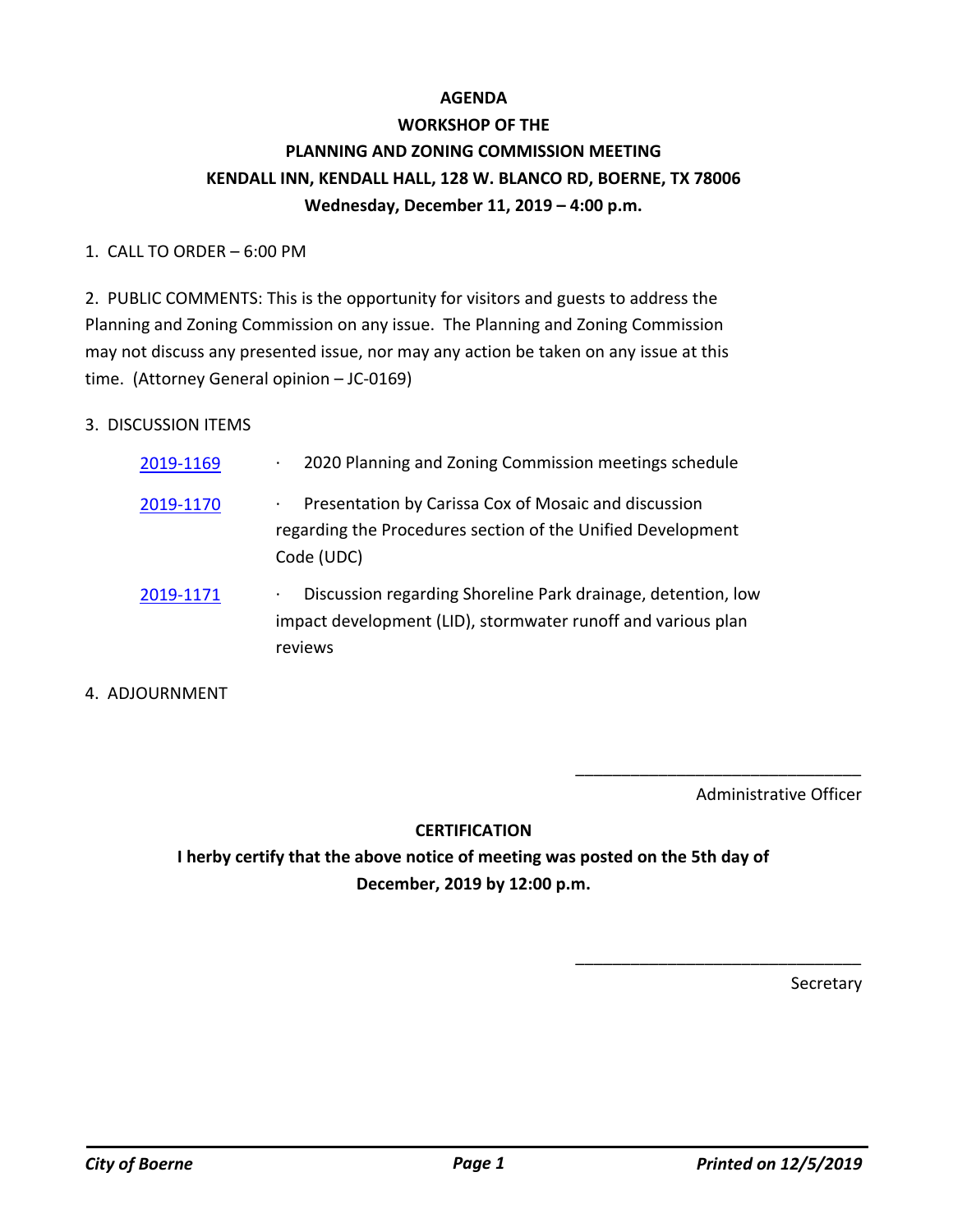## **AGENDA**

# **WORKSHOP OF THE PLANNING AND ZONING COMMISSION MEETING KENDALL INN, KENDALL HALL, 128 W. BLANCO RD, BOERNE, TX 78006 Wednesday, December 11, 2019 – 4:00 p.m.**

#### 1. CALL TO ORDER – 6:00 PM

2. PUBLIC COMMENTS: This is the opportunity for visitors and guests to address the Planning and Zoning Commission on any issue. The Planning and Zoning Commission may not discuss any presented issue, nor may any action be taken on any issue at this time. (Attorney General opinion – JC-0169)

### 3. DISCUSSION ITEMS

| 2019-1169 | 2020 Planning and Zoning Commission meetings schedule<br>$\bullet$                                                                           |
|-----------|----------------------------------------------------------------------------------------------------------------------------------------------|
| 2019-1170 | Presentation by Carissa Cox of Mosaic and discussion<br>٠<br>regarding the Procedures section of the Unified Development<br>Code (UDC)       |
| 2019-1171 | Discussion regarding Shoreline Park drainage, detention, low<br>٠<br>impact development (LID), stormwater runoff and various plan<br>reviews |

#### 4. ADJOURNMENT

Administrative Officer

\_\_\_\_\_\_\_\_\_\_\_\_\_\_\_\_\_\_\_\_\_\_\_\_\_\_\_\_\_\_\_

\_\_\_\_\_\_\_\_\_\_\_\_\_\_\_\_\_\_\_\_\_\_\_\_\_\_\_\_\_\_\_

#### **CERTIFICATION**

**I herby certify that the above notice of meeting was posted on the 5th day of December, 2019 by 12:00 p.m.**

Secretary